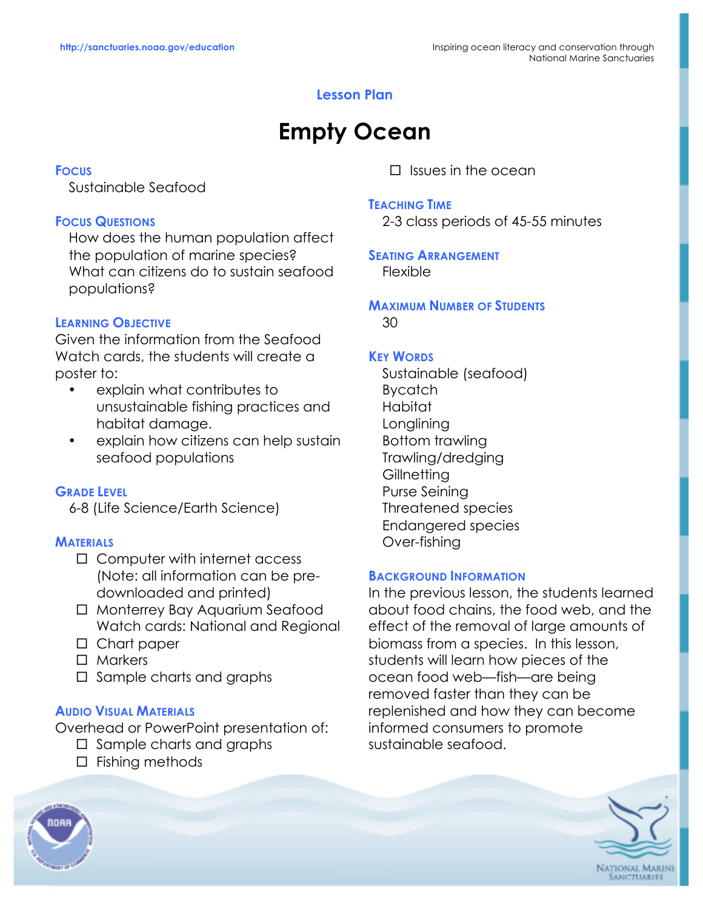# **Lesson Plan**

# **Empty Ocean**

### **FOCUS**

Sustainable Seafood

# **FOCUS QUESTIONS**

How does the human population affect the population of marine species? What can citizens do to sustain seafood populations?

# **LEARNING OBJECTIVE**

Given the information from the Seafood Watch cards, the students will create a poster to:

- explain what contributes to unsustainable fishing practices and habitat damage.
- explain how citizens can help sustain seafood populations

# **GRADE LEVEL**

6-8 (Life Science/Earth Science)

#### **MATERIALS**

- $\Box$  Computer with internet access (Note: all information can be predownloaded and printed)
- □ Monterrey Bay Aquarium Seafood Watch cards: National and Regional
- $\Box$  Chart paper
- $\Box$  Markers
- $\Box$  Sample charts and graphs

#### **AUDIO VISUAL MATERIALS**

Overhead or PowerPoint presentation of:

- $\Box$  Sample charts and graphs
- $\Box$  Fishing methods

 $\Box$  Issues in the ocean

#### **TEACHING TIME**

2-3 class periods of 45-55 minutes

#### **SEATING ARRANGEMENT** Flexible

#### **MAXIMUM NUMBER OF STUDENTS** 30

# **KEY WORDS**

Sustainable (seafood) Bycatch Habitat Longlining Bottom trawling Trawling/dredging **Gillnetting** Purse Seining Threatened species Endangered species Over-fishing

#### **BACKGROUND INFORMATION**

In the previous lesson, the students learned about food chains, the food web, and the effect of the removal of large amounts of biomass from a species. In this lesson, students will learn how pieces of the ocean food web—fish—are being removed faster than they can be replenished and how they can become informed consumers to promote sustainable seafood.



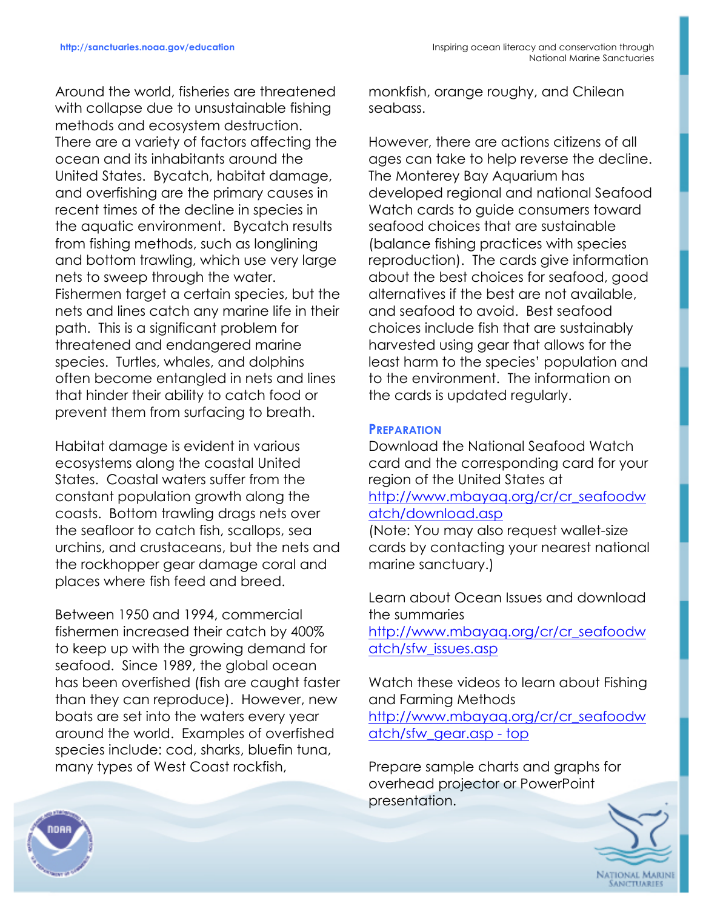Around the world, fisheries are threatened with collapse due to unsustainable fishing methods and ecosystem destruction. There are a variety of factors affecting the ocean and its inhabitants around the United States. Bycatch, habitat damage, and overfishing are the primary causes in recent times of the decline in species in the aquatic environment. Bycatch results from fishing methods, such as longlining and bottom trawling, which use very large nets to sweep through the water. Fishermen target a certain species, but the nets and lines catch any marine life in their path. This is a significant problem for threatened and endangered marine species. Turtles, whales, and dolphins often become entangled in nets and lines that hinder their ability to catch food or prevent them from surfacing to breath.

Habitat damage is evident in various ecosystems along the coastal United States. Coastal waters suffer from the constant population growth along the coasts. Bottom trawling drags nets over the seafloor to catch fish, scallops, sea urchins, and crustaceans, but the nets and the rockhopper gear damage coral and places where fish feed and breed.

Between 1950 and 1994, commercial fishermen increased their catch by 400% to keep up with the growing demand for seafood. Since 1989, the global ocean has been overfished (fish are caught faster than they can reproduce). However, new boats are set into the waters every year around the world. Examples of overfished species include: cod, sharks, bluefin tuna, many types of West Coast rockfish,

monkfish, orange roughy, and Chilean seabass.

However, there are actions citizens of all ages can take to help reverse the decline. The Monterey Bay Aquarium has developed regional and national Seafood Watch cards to guide consumers toward seafood choices that are sustainable (balance fishing practices with species reproduction). The cards give information about the best choices for seafood, good alternatives if the best are not available, and seafood to avoid. Best seafood choices include fish that are sustainably harvested using gear that allows for the least harm to the species' population and to the environment. The information on the cards is updated regularly.

# **PREPARATION**

Download the National Seafood Watch card and the corresponding card for your region of the United States at http://www.mbayaq.org/cr/cr\_seafoodw atch/download.asp

(Note: You may also request wallet-size cards by contacting your nearest national marine sanctuary.)

Learn about Ocean Issues and download the summaries

http://www.mbayaq.org/cr/cr\_seafoodw atch/sfw\_issues.asp

Watch these videos to learn about Fishing and Farming Methods

http://www.mbayaq.org/cr/cr\_seafoodw atch/sfw\_gear.asp - top

Prepare sample charts and graphs for overhead projector or PowerPoint presentation.



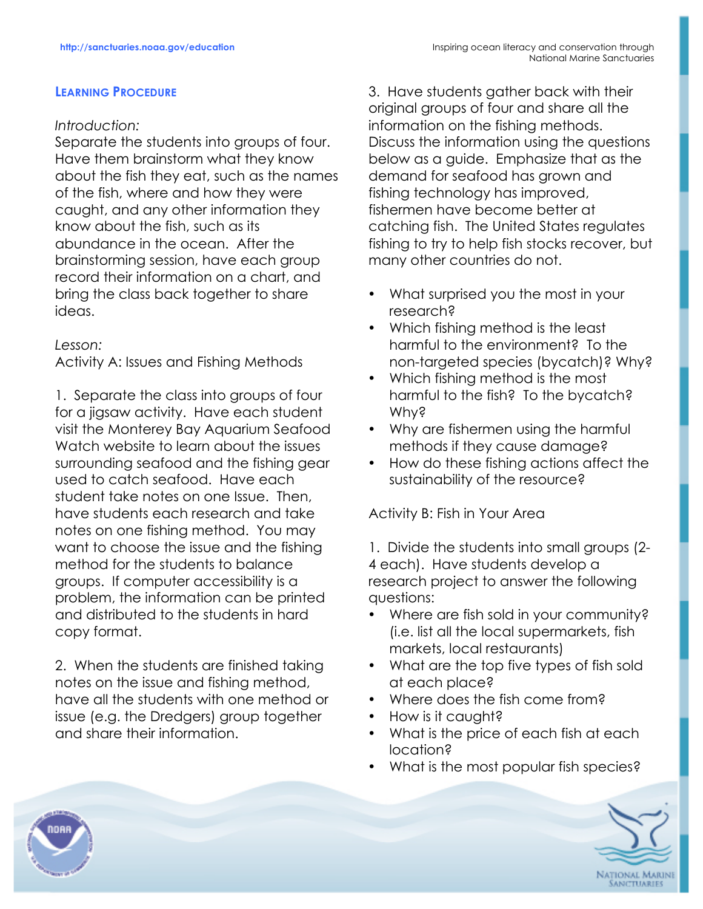#### **LEARNING PROCEDURE**

# *Introduction:*

Separate the students into groups of four. Have them brainstorm what they know about the fish they eat, such as the names of the fish, where and how they were caught, and any other information they know about the fish, such as its abundance in the ocean. After the brainstorming session, have each group record their information on a chart, and bring the class back together to share ideas.

*Lesson:*

Activity A: Issues and Fishing Methods

1. Separate the class into groups of four for a jigsaw activity. Have each student visit the Monterey Bay Aquarium Seafood Watch website to learn about the issues surrounding seafood and the fishing gear used to catch seafood. Have each student take notes on one Issue. Then, have students each research and take notes on one fishing method. You may want to choose the issue and the fishing method for the students to balance groups. If computer accessibility is a problem, the information can be printed and distributed to the students in hard copy format.

2. When the students are finished taking notes on the issue and fishing method, have all the students with one method or issue (e.g. the Dredgers) group together and share their information.

3. Have students gather back with their original groups of four and share all the information on the fishing methods. Discuss the information using the questions below as a guide. Emphasize that as the demand for seafood has grown and fishing technology has improved, fishermen have become better at catching fish. The United States regulates fishing to try to help fish stocks recover, but many other countries do not.

- What surprised you the most in your research?
- Which fishing method is the least harmful to the environment? To the non-targeted species (bycatch)? Why?
- Which fishing method is the most harmful to the fish? To the bycatch? Why?
- Why are fishermen using the harmful methods if they cause damage?
- How do these fishing actions affect the sustainability of the resource?

Activity B: Fish in Your Area

1. Divide the students into small groups (2- 4 each). Have students develop a research project to answer the following questions:

- Where are fish sold in your community? (i.e. list all the local supermarkets, fish markets, local restaurants)
- What are the top five types of fish sold at each place?
- Where does the fish come from?
- How is it caught?
- What is the price of each fish at each location?
- What is the most popular fish species?



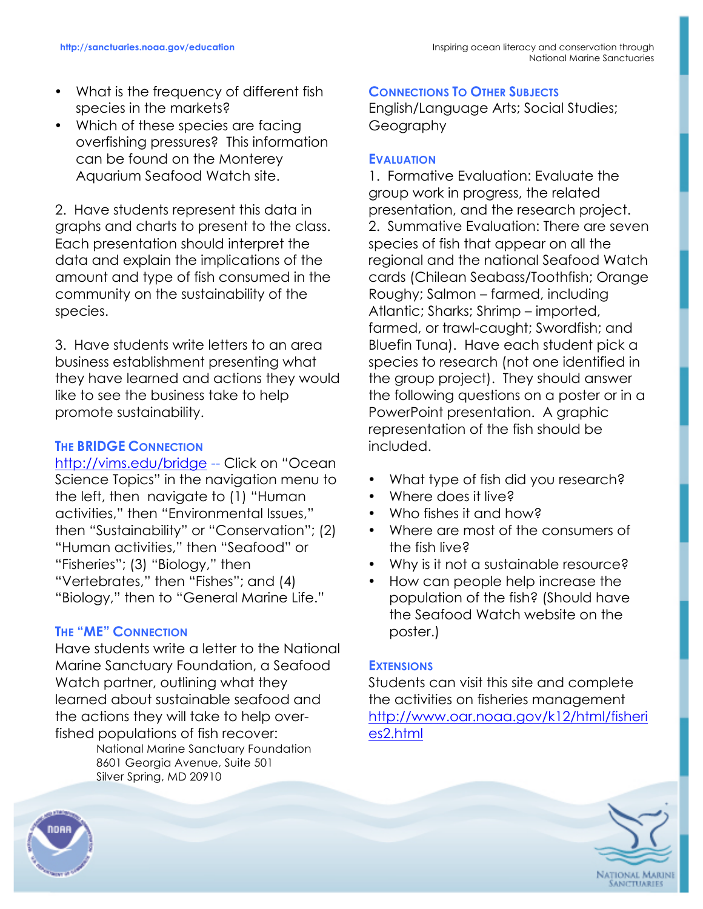- What is the frequency of different fish species in the markets?
- Which of these species are facing overfishing pressures? This information can be found on the Monterey Aquarium Seafood Watch site.

2. Have students represent this data in graphs and charts to present to the class. Each presentation should interpret the data and explain the implications of the amount and type of fish consumed in the community on the sustainability of the species.

3. Have students write letters to an area business establishment presenting what they have learned and actions they would like to see the business take to help promote sustainability.

# **THE BRIDGE CONNECTION**

http://vims.edu/bridge -- Click on "Ocean Science Topics" in the navigation menu to the left, then navigate to (1) "Human activities," then "Environmental Issues," then "Sustainability" or "Conservation"; (2) "Human activities," then "Seafood" or "Fisheries"; (3) "Biology," then "Vertebrates," then "Fishes"; and (4) "Biology," then to "General Marine Life."

#### **THE "ME" CONNECTION**

Have students write a letter to the National Marine Sanctuary Foundation, a Seafood Watch partner, outlining what they learned about sustainable seafood and the actions they will take to help overfished populations of fish recover:

National Marine Sanctuary Foundation 8601 Georgia Avenue, Suite 501 Silver Spring, MD 20910

### **CONNECTIONS TO OTHER SUBJECTS**

English/Language Arts; Social Studies; Geography

### **EVALUATION**

1. Formative Evaluation: Evaluate the group work in progress, the related presentation, and the research project. 2. Summative Evaluation: There are seven species of fish that appear on all the regional and the national Seafood Watch cards (Chilean Seabass/Toothfish; Orange Roughy; Salmon – farmed, including Atlantic; Sharks; Shrimp – imported, farmed, or trawl-caught; Swordfish; and Bluefin Tuna). Have each student pick a species to research (not one identified in the group project). They should answer the following questions on a poster or in a PowerPoint presentation. A graphic representation of the fish should be included.

- What type of fish did you research?
- Where does it live?
- Who fishes it and how?
- Where are most of the consumers of the fish live?
- Why is it not a sustainable resource?
- How can people help increase the population of the fish? (Should have the Seafood Watch website on the poster.)

#### **EXTENSIONS**

Students can visit this site and complete the activities on fisheries management http://www.oar.noaa.gov/k12/html/fisheri es2.html